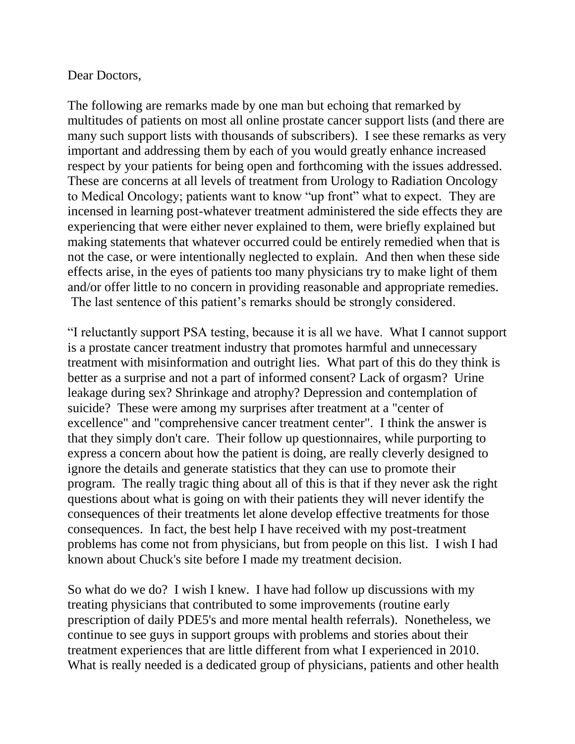## Dear Doctors,

The following are remarks made by one man but echoing that remarked by multitudes of patients on most all online prostate cancer support lists (and there are many such support lists with thousands of subscribers). I see these remarks as very important and addressing them by each of you would greatly enhance increased respect by your patients for being open and forthcoming with the issues addressed. These are concerns at all levels of treatment from Urology to Radiation Oncology to Medical Oncology; patients want to know "up front" what to expect. They are incensed in learning post-whatever treatment administered the side effects they are experiencing that were either never explained to them, were briefly explained but making statements that whatever occurred could be entirely remedied when that is not the case, or were intentionally neglected to explain. And then when these side effects arise, in the eyes of patients too many physicians try to make light of them and/or offer little to no concern in providing reasonable and appropriate remedies. The last sentence of this patient's remarks should be strongly considered.

"I reluctantly support PSA testing, because it is all we have. What I cannot support is a prostate cancer treatment industry that promotes harmful and unnecessary treatment with misinformation and outright lies. What part of this do they think is better as a surprise and not a part of informed consent? Lack of orgasm? Urine leakage during sex? Shrinkage and atrophy? Depression and contemplation of suicide? These were among my surprises after treatment at a "center of excellence" and "comprehensive cancer treatment center". I think the answer is that they simply don't care. Their follow up questionnaires, while purporting to express a concern about how the patient is doing, are really cleverly designed to ignore the details and generate statistics that they can use to promote their program. The really tragic thing about all of this is that if they never ask the right questions about what is going on with their patients they will never identify the consequences of their treatments let alone develop effective treatments for those consequences. In fact, the best help I have received with my post-treatment problems has come not from physicians, but from people on this list. I wish I had known about Chuck's site before I made my treatment decision.

So what do we do? I wish I knew. I have had follow up discussions with my treating physicians that contributed to some improvements (routine early prescription of daily PDE5's and more mental health referrals). Nonetheless, we continue to see guys in support groups with problems and stories about their treatment experiences that are little different from what I experienced in 2010. What is really needed is a dedicated group of physicians, patients and other health